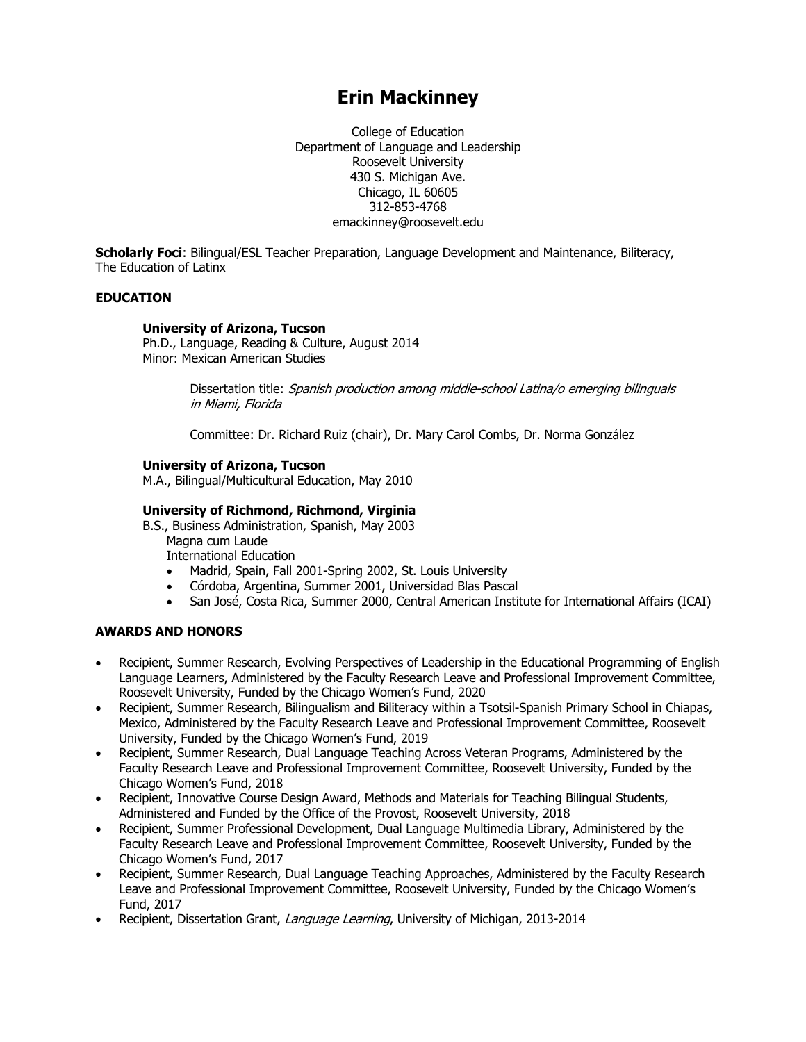# **Erin Mackinney**

College of Education Department of Language and Leadership Roosevelt University 430 S. Michigan Ave. Chicago, IL 60605 312-853-4768 emackinney@roosevelt.edu

**Scholarly Foci**: Bilingual/ESL Teacher Preparation, Language Development and Maintenance, Biliteracy, The Education of Latinx

# **EDUCATION**

#### **University of Arizona, Tucson**

Ph.D., Language, Reading & Culture, August 2014 Minor: Mexican American Studies

> Dissertation title: Spanish production among middle-school Latina/o emerging bilinguals in Miami, Florida

Committee: Dr. Richard Ruiz (chair), Dr. Mary Carol Combs, Dr. Norma González

## **University of Arizona, Tucson**

M.A., Bilingual/Multicultural Education, May 2010

## **University of Richmond, Richmond, Virginia**

B.S., Business Administration, Spanish, May 2003 Magna cum Laude

International Education

- Madrid, Spain, Fall 2001-Spring 2002, St. Louis University
- Córdoba, Argentina, Summer 2001, Universidad Blas Pascal
- San José, Costa Rica, Summer 2000, Central American Institute for International Affairs (ICAI)

## **AWARDS AND HONORS**

- Recipient, Summer Research, Evolving Perspectives of Leadership in the Educational Programming of English Language Learners, Administered by the Faculty Research Leave and Professional Improvement Committee, Roosevelt University, Funded by the Chicago Women's Fund, 2020
- Recipient, Summer Research, Bilingualism and Biliteracy within a Tsotsil-Spanish Primary School in Chiapas, Mexico, Administered by the Faculty Research Leave and Professional Improvement Committee, Roosevelt University, Funded by the Chicago Women's Fund, 2019
- Recipient, Summer Research, Dual Language Teaching Across Veteran Programs, Administered by the Faculty Research Leave and Professional Improvement Committee, Roosevelt University, Funded by the Chicago Women's Fund, 2018
- Recipient, Innovative Course Design Award, Methods and Materials for Teaching Bilingual Students, Administered and Funded by the Office of the Provost, Roosevelt University, 2018
- Recipient, Summer Professional Development, Dual Language Multimedia Library, Administered by the Faculty Research Leave and Professional Improvement Committee, Roosevelt University, Funded by the Chicago Women's Fund, 2017
- Recipient, Summer Research, Dual Language Teaching Approaches, Administered by the Faculty Research Leave and Professional Improvement Committee, Roosevelt University, Funded by the Chicago Women's Fund, 2017
- Recipient, Dissertation Grant, Language Learning, University of Michigan, 2013-2014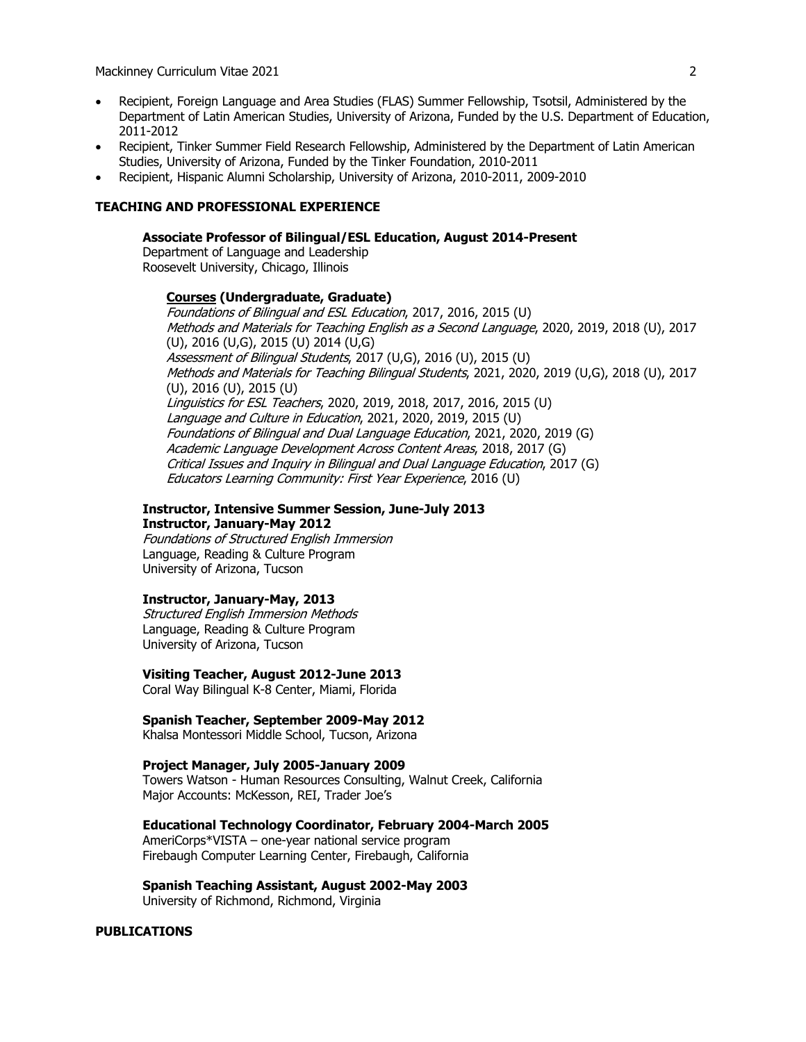- Recipient, Foreign Language and Area Studies (FLAS) Summer Fellowship, Tsotsil, Administered by the Department of Latin American Studies, University of Arizona, Funded by the U.S. Department of Education, 2011-2012
- Recipient, Tinker Summer Field Research Fellowship, Administered by the Department of Latin American Studies, University of Arizona, Funded by the Tinker Foundation, 2010-2011
- Recipient, Hispanic Alumni Scholarship, University of Arizona, 2010-2011, 2009-2010

## **TEACHING AND PROFESSIONAL EXPERIENCE**

#### **Associate Professor of Bilingual/ESL Education, August 2014-Present**

Department of Language and Leadership Roosevelt University, Chicago, Illinois

## **Courses (Undergraduate, Graduate)**

Foundations of Bilingual and ESL Education, 2017, 2016, 2015 (U) Methods and Materials for Teaching English as a Second Language, 2020, 2019, 2018 (U), 2017 (U), 2016 (U,G), 2015 (U) 2014 (U,G) Assessment of Bilingual Students, 2017 (U,G), 2016 (U), 2015 (U) Methods and Materials for Teaching Bilingual Students, 2021, 2020, 2019 (U,G), 2018 (U), 2017 (U), 2016 (U), 2015 (U) Linguistics for ESL Teachers, 2020, 2019, 2018, 2017, 2016, 2015 (U) Language and Culture in Education, 2021, 2020, 2019, 2015 (U) Foundations of Bilingual and Dual Language Education, 2021, 2020, 2019 (G) Academic Language Development Across Content Areas, 2018, 2017 (G) Critical Issues and Inquiry in Bilingual and Dual Language Education, 2017 (G) Educators Learning Community: First Year Experience, 2016 (U)

#### **Instructor, Intensive Summer Session, June-July 2013**

**Instructor, January-May 2012**

Foundations of Structured English Immersion Language, Reading & Culture Program University of Arizona, Tucson

#### **Instructor, January-May, 2013**

Structured English Immersion Methods Language, Reading & Culture Program University of Arizona, Tucson

## **Visiting Teacher, August 2012-June 2013**

Coral Way Bilingual K-8 Center, Miami, Florida

## **Spanish Teacher, September 2009-May 2012**

Khalsa Montessori Middle School, Tucson, Arizona

### **Project Manager, July 2005-January 2009**

Towers Watson - Human Resources Consulting, Walnut Creek, California Major Accounts: McKesson, REI, Trader Joe's

#### **Educational Technology Coordinator, February 2004-March 2005**

AmeriCorps\*VISTA – one-year national service program Firebaugh Computer Learning Center, Firebaugh, California

## **Spanish Teaching Assistant, August 2002-May 2003**

University of Richmond, Richmond, Virginia

## **PUBLICATIONS**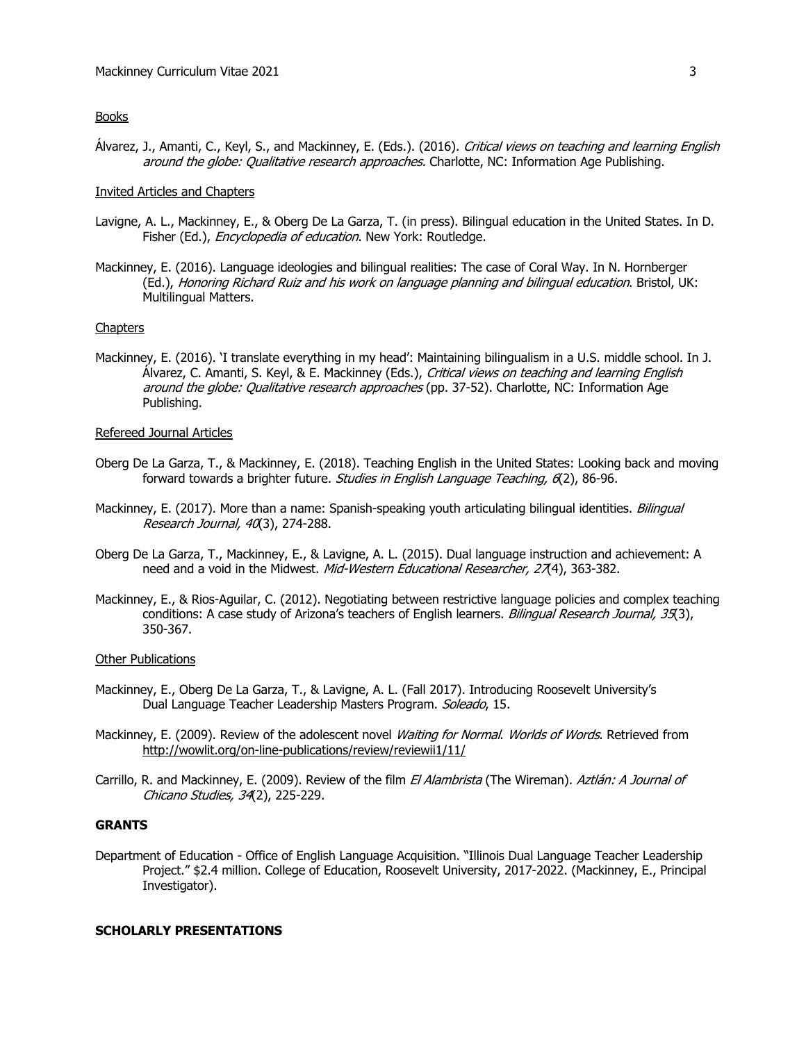# **Books**

Álvarez, J., Amanti, C., Keyl, S., and Mackinney, E. (Eds.). (2016). *Critical views on teaching and learning English* around the globe: Qualitative research approaches. Charlotte, NC: Information Age Publishing.

## Invited Articles and Chapters

- Lavigne, A. L., Mackinney, E., & Oberg De La Garza, T. (in press). Bilingual education in the United States. In D. Fisher (Ed.), *Encyclopedia of education*. New York: Routledge.
- Mackinney, E. (2016). Language ideologies and bilingual realities: The case of Coral Way. In N. Hornberger (Ed.), Honoring Richard Ruiz and his work on language planning and bilingual education. Bristol, UK: Multilingual Matters.

#### **Chapters**

Mackinney, E. (2016). 'I translate everything in my head': Maintaining bilingualism in a U.S. middle school. In J. Álvarez, C. Amanti, S. Keyl, & E. Mackinney (Eds.), Critical views on teaching and learning English around the globe: Qualitative research approaches (pp. 37-52). Charlotte, NC: Information Age Publishing.

#### Refereed Journal Articles

- Oberg De La Garza, T., & Mackinney, E. (2018). Teaching English in the United States: Looking back and moving forward towards a brighter future. Studies in English Language Teaching, 6(2), 86-96.
- Mackinney, E. (2017). More than a name: Spanish-speaking youth articulating bilingual identities. Bilingual Research Journal, 40(3), 274-288.
- Oberg De La Garza, T., Mackinney, E., & Lavigne, A. L. (2015). Dual language instruction and achievement: A need and a void in the Midwest. Mid-Western Educational Researcher, 27(4), 363-382.
- Mackinney, E., & Rios-Aguilar, C. (2012). Negotiating between restrictive language policies and complex teaching conditions: A case study of Arizona's teachers of English learners. Bilingual Research Journal, 35(3), 350-367.

#### Other Publications

- Mackinney, E., Oberg De La Garza, T., & Lavigne, A. L. (Fall 2017). Introducing Roosevelt University's Dual Language Teacher Leadership Masters Program. Soleado, 15.
- Mackinney, E. (2009). Review of the adolescent novel Waiting for Normal. Worlds of Words. Retrieved from http://wowlit.org/on-line-publications/review/reviewii1/11/
- Carrillo, R. and Mackinney, E. (2009). Review of the film El Alambrista (The Wireman). Aztlán: A Journal of Chicano Studies, 34(2), 225-229.

# **GRANTS**

Department of Education - Office of English Language Acquisition. "Illinois Dual Language Teacher Leadership Project." \$2.4 million. College of Education, Roosevelt University, 2017-2022. (Mackinney, E., Principal Investigator).

#### **SCHOLARLY PRESENTATIONS**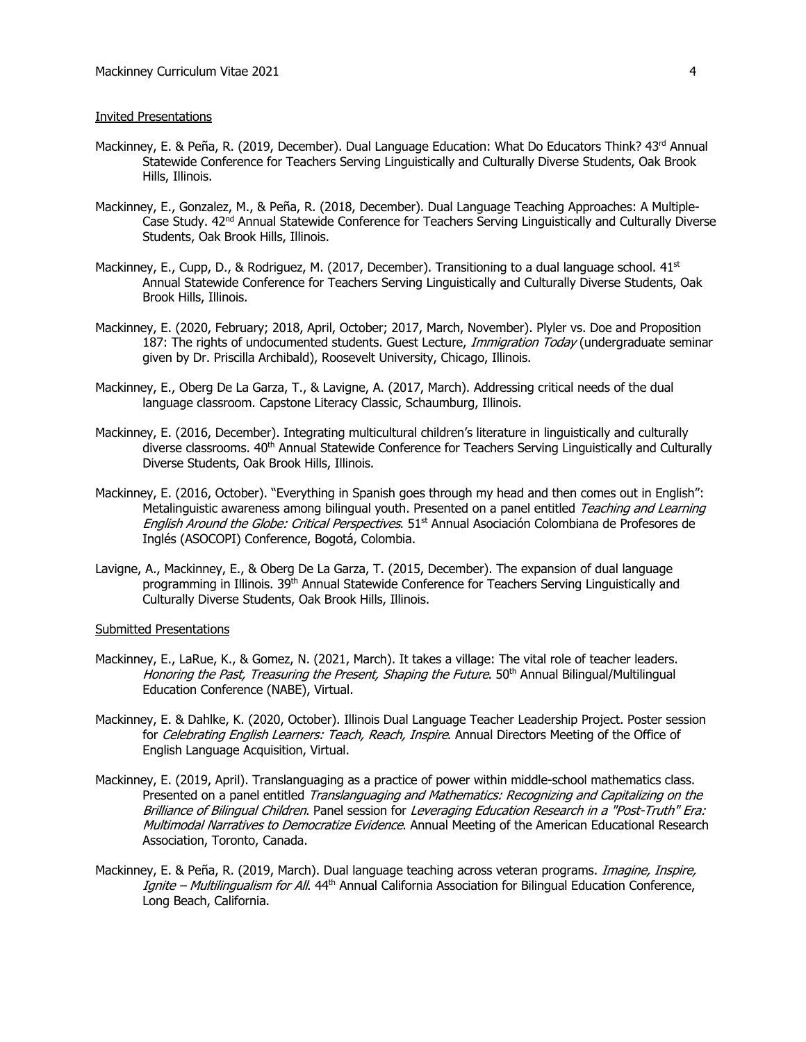#### Invited Presentations

- Mackinney, E. & Peña, R. (2019, December). Dual Language Education: What Do Educators Think? 43<sup>rd</sup> Annual Statewide Conference for Teachers Serving Linguistically and Culturally Diverse Students, Oak Brook Hills, Illinois.
- Mackinney, E., Gonzalez, M., & Peña, R. (2018, December). Dual Language Teaching Approaches: A Multiple-Case Study. 42<sup>nd</sup> Annual Statewide Conference for Teachers Serving Linguistically and Culturally Diverse Students, Oak Brook Hills, Illinois.
- Mackinney, E., Cupp, D., & Rodriguez, M. (2017, December). Transitioning to a dual language school.  $41<sup>st</sup>$ Annual Statewide Conference for Teachers Serving Linguistically and Culturally Diverse Students, Oak Brook Hills, Illinois.
- Mackinney, E. (2020, February; 2018, April, October; 2017, March, November). Plyler vs. Doe and Proposition 187: The rights of undocumented students. Guest Lecture, *Immigration Today* (undergraduate seminar given by Dr. Priscilla Archibald), Roosevelt University, Chicago, Illinois.
- Mackinney, E., Oberg De La Garza, T., & Lavigne, A. (2017, March). Addressing critical needs of the dual language classroom. Capstone Literacy Classic, Schaumburg, Illinois.
- Mackinney, E. (2016, December). Integrating multicultural children's literature in linguistically and culturally diverse classrooms. 40<sup>th</sup> Annual Statewide Conference for Teachers Serving Linguistically and Culturally Diverse Students, Oak Brook Hills, Illinois.
- Mackinney, E. (2016, October). "Everything in Spanish goes through my head and then comes out in English": Metalinguistic awareness among bilingual youth. Presented on a panel entitled Teaching and Learning English Around the Globe: Critical Perspectives. 51<sup>st</sup> Annual Asociación Colombiana de Profesores de Inglés (ASOCOPI) Conference, Bogotá, Colombia.
- Lavigne, A., Mackinney, E., & Oberg De La Garza, T. (2015, December). The expansion of dual language programming in Illinois. 39<sup>th</sup> Annual Statewide Conference for Teachers Serving Linguistically and Culturally Diverse Students, Oak Brook Hills, Illinois.

#### Submitted Presentations

- Mackinney, E., LaRue, K., & Gomez, N. (2021, March). It takes a village: The vital role of teacher leaders. Honoring the Past, Treasuring the Present, Shaping the Future. 50<sup>th</sup> Annual Bilingual/Multilingual Education Conference (NABE), Virtual.
- Mackinney, E. & Dahlke, K. (2020, October). Illinois Dual Language Teacher Leadership Project. Poster session for Celebrating English Learners: Teach, Reach, Inspire. Annual Directors Meeting of the Office of English Language Acquisition, Virtual.
- Mackinney, E. (2019, April). Translanguaging as a practice of power within middle-school mathematics class. Presented on a panel entitled Translanguaging and Mathematics: Recognizing and Capitalizing on the Brilliance of Bilingual Children. Panel session for Leveraging Education Research in a "Post-Truth" Era: Multimodal Narratives to Democratize Evidence. Annual Meeting of the American Educational Research Association, Toronto, Canada.
- Mackinney, E. & Peña, R. (2019, March). Dual language teaching across veteran programs. *Imagine, Inspire*, Ignite – Multilingualism for All. 44<sup>th</sup> Annual California Association for Bilingual Education Conference, Long Beach, California.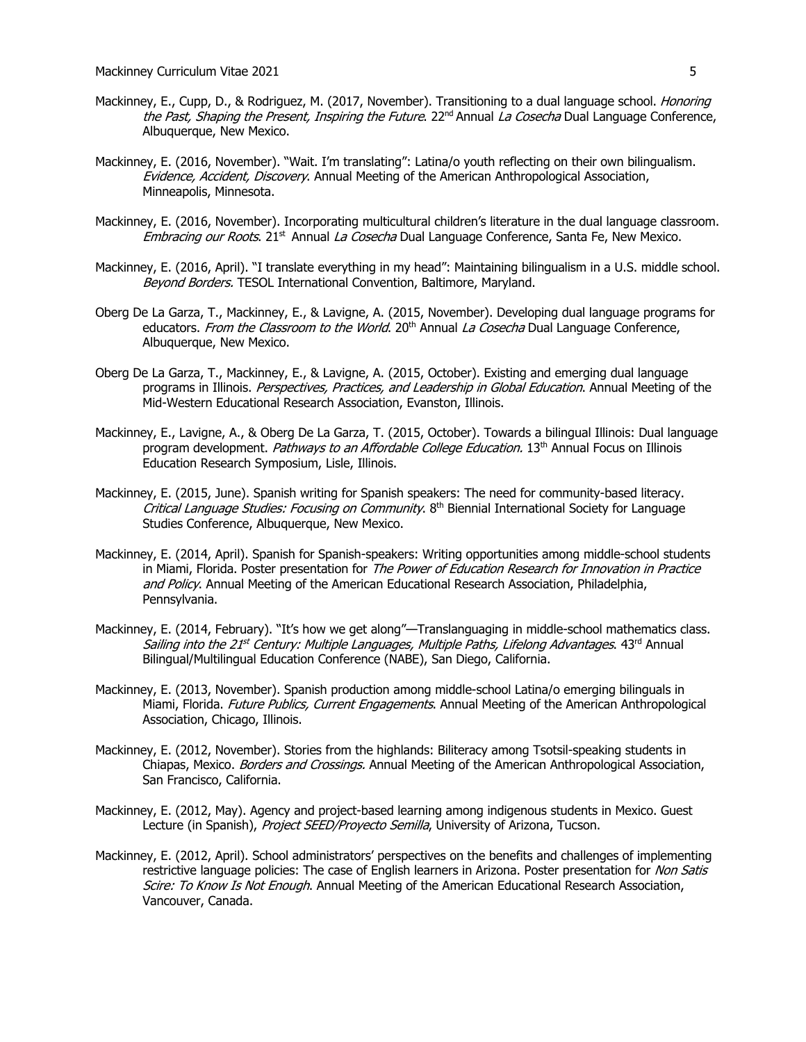- Mackinney, E., Cupp, D., & Rodriguez, M. (2017, November). Transitioning to a dual language school. *Honoring* the Past, Shaping the Present, Inspiring the Future. 22<sup>nd</sup> Annual La Cosecha Dual Language Conference, Albuquerque, New Mexico.
- Mackinney, E. (2016, November). "Wait. I'm translating": Latina/o youth reflecting on their own bilingualism. Evidence, Accident, Discovery. Annual Meeting of the American Anthropological Association, Minneapolis, Minnesota.
- Mackinney, E. (2016, November). Incorporating multicultural children's literature in the dual language classroom. Embracing our Roots. 21<sup>st</sup> Annual La Cosecha Dual Language Conference, Santa Fe, New Mexico.
- Mackinney, E. (2016, April). "I translate everything in my head": Maintaining bilingualism in a U.S. middle school. Beyond Borders. TESOL International Convention, Baltimore, Maryland.
- Oberg De La Garza, T., Mackinney, E., & Lavigne, A. (2015, November). Developing dual language programs for educators. From the Classroom to the World. 20<sup>th</sup> Annual La Cosecha Dual Language Conference, Albuquerque, New Mexico.
- Oberg De La Garza, T., Mackinney, E., & Lavigne, A. (2015, October). Existing and emerging dual language programs in Illinois. Perspectives, Practices, and Leadership in Global Education. Annual Meeting of the Mid-Western Educational Research Association, Evanston, Illinois.
- Mackinney, E., Lavigne, A., & Oberg De La Garza, T. (2015, October). Towards a bilingual Illinois: Dual language program development. Pathways to an Affordable College Education. 13<sup>th</sup> Annual Focus on Illinois Education Research Symposium, Lisle, Illinois.
- Mackinney, E. (2015, June). Spanish writing for Spanish speakers: The need for community-based literacy. Critical Language Studies: Focusing on Community. 8<sup>th</sup> Biennial International Society for Language Studies Conference, Albuquerque, New Mexico.
- Mackinney, E. (2014, April). Spanish for Spanish-speakers: Writing opportunities among middle-school students in Miami, Florida. Poster presentation for The Power of Education Research for Innovation in Practice and Policy. Annual Meeting of the American Educational Research Association, Philadelphia, Pennsylvania.
- Mackinney, E. (2014, February). "It's how we get along"—Translanguaging in middle-school mathematics class. Sailing into the 21<sup>st</sup> Century: Multiple Languages, Multiple Paths, Lifelong Advantages. 43<sup>rd</sup> Annual Bilingual/Multilingual Education Conference (NABE), San Diego, California.
- Mackinney, E. (2013, November). Spanish production among middle-school Latina/o emerging bilinguals in Miami, Florida. Future Publics, Current Engagements. Annual Meeting of the American Anthropological Association, Chicago, Illinois.
- Mackinney, E. (2012, November). Stories from the highlands: Biliteracy among Tsotsil-speaking students in Chiapas, Mexico. *Borders and Crossings.* Annual Meeting of the American Anthropological Association, San Francisco, California.
- Mackinney, E. (2012, May). Agency and project-based learning among indigenous students in Mexico. Guest Lecture (in Spanish), Project SEED/Proyecto Semilla, University of Arizona, Tucson.
- Mackinney, E. (2012, April). School administrators' perspectives on the benefits and challenges of implementing restrictive language policies: The case of English learners in Arizona. Poster presentation for Non Satis Scire: To Know Is Not Enough. Annual Meeting of the American Educational Research Association, Vancouver, Canada.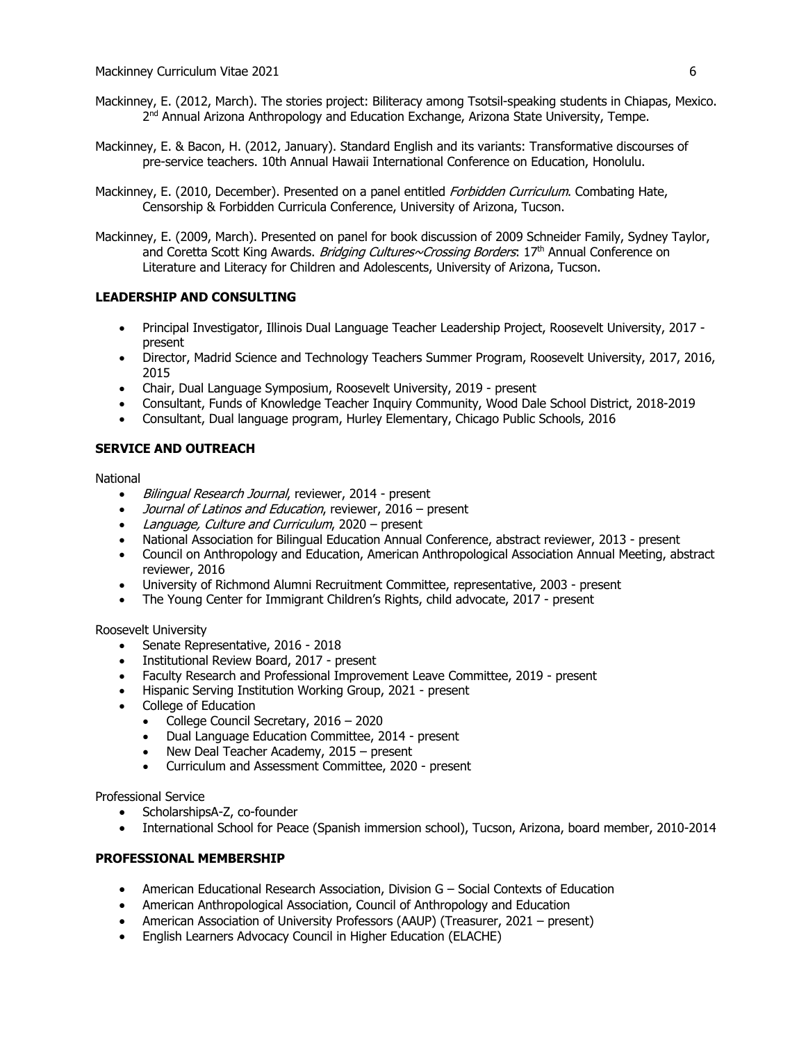- Mackinney, E. (2012, March). The stories project: Biliteracy among Tsotsil-speaking students in Chiapas, Mexico. 2<sup>nd</sup> Annual Arizona Anthropology and Education Exchange, Arizona State University, Tempe.
- Mackinney, E. & Bacon, H. (2012, January). Standard English and its variants: Transformative discourses of pre-service teachers. 10th Annual Hawaii International Conference on Education, Honolulu.
- Mackinney, E. (2010, December). Presented on a panel entitled *Forbidden Curriculum*. Combating Hate, Censorship & Forbidden Curricula Conference, University of Arizona, Tucson.
- Mackinney, E. (2009, March). Presented on panel for book discussion of 2009 Schneider Family, Sydney Taylor, and Coretta Scott King Awards. Bridging Cultures~Crossing Borders: 17th Annual Conference on Literature and Literacy for Children and Adolescents, University of Arizona, Tucson.

# **LEADERSHIP AND CONSULTING**

- Principal Investigator, Illinois Dual Language Teacher Leadership Project, Roosevelt University, 2017 present
- Director, Madrid Science and Technology Teachers Summer Program, Roosevelt University, 2017, 2016, 2015
- Chair, Dual Language Symposium, Roosevelt University, 2019 present
- Consultant, Funds of Knowledge Teacher Inquiry Community, Wood Dale School District, 2018-2019
- Consultant, Dual language program, Hurley Elementary, Chicago Public Schools, 2016

# **SERVICE AND OUTREACH**

National

- Bilingual Research Journal, reviewer, 2014 present
- Journal of Latinos and Education, reviewer, 2016 present
- Language, Culture and Curriculum, 2020 present
- National Association for Bilingual Education Annual Conference, abstract reviewer, 2013 present
- Council on Anthropology and Education, American Anthropological Association Annual Meeting, abstract reviewer, 2016
- University of Richmond Alumni Recruitment Committee, representative, 2003 present
- The Young Center for Immigrant Children's Rights, child advocate, 2017 present

Roosevelt University

- Senate Representative, 2016 2018
- Institutional Review Board, 2017 present
- Faculty Research and Professional Improvement Leave Committee, 2019 present
- Hispanic Serving Institution Working Group, 2021 present
- College of Education
	- College Council Secretary, 2016 2020
	- Dual Language Education Committee, 2014 present
	- New Deal Teacher Academy, 2015 present
	- Curriculum and Assessment Committee, 2020 present

Professional Service

- ScholarshipsA-Z, co-founder
- International School for Peace (Spanish immersion school), Tucson, Arizona, board member, 2010-2014

## **PROFESSIONAL MEMBERSHIP**

- American Educational Research Association, Division G Social Contexts of Education
- American Anthropological Association, Council of Anthropology and Education
- American Association of University Professors (AAUP) (Treasurer, 2021 present)
- English Learners Advocacy Council in Higher Education (ELACHE)